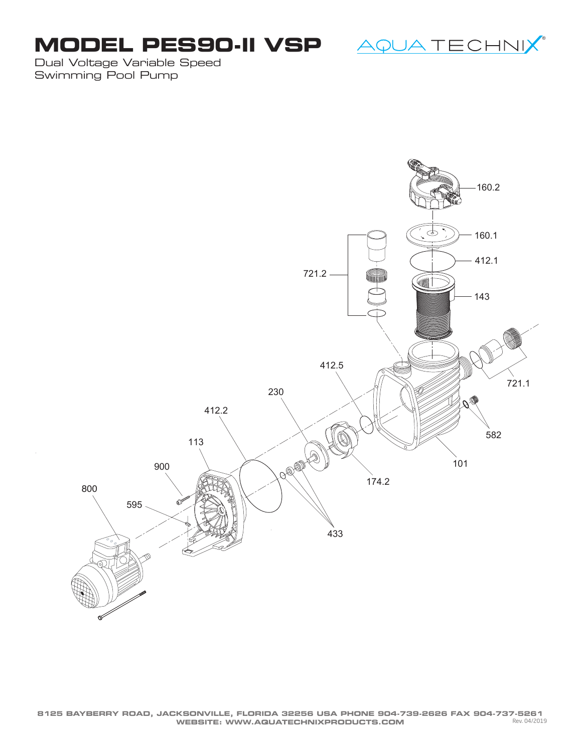## **MODEL PES90-II VSP**

<u>AQUA TECHNIX</u>®

Dual Voltage Variable Speed Swimming Pool Pump